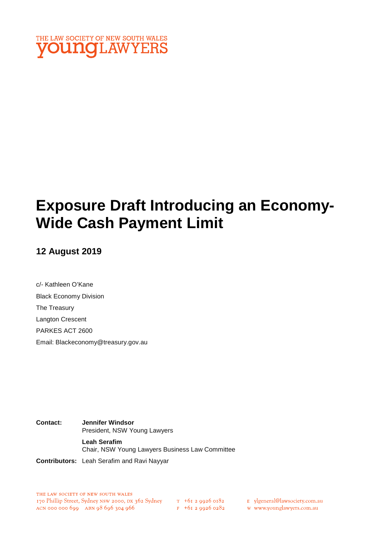

# **Exposure Draft Introducing an Economy-Wide Cash Payment Limit**

# **12 August 2019**

c/- Kathleen O'Kane Black Economy Division The Treasury Langton Crescent PARKES ACT 2600 Email: Blackeconomy@treasury.gov.au

**Contact: Jennifer Windsor**  President, NSW Young Lawyers **Leah Serafim** Chair, NSW Young Lawyers Business Law Committee

**Contributors:** Leah Serafim and Ravi Nayyar

E ylgeneral@lawsociety.com.au

w www.younglawyers.com.au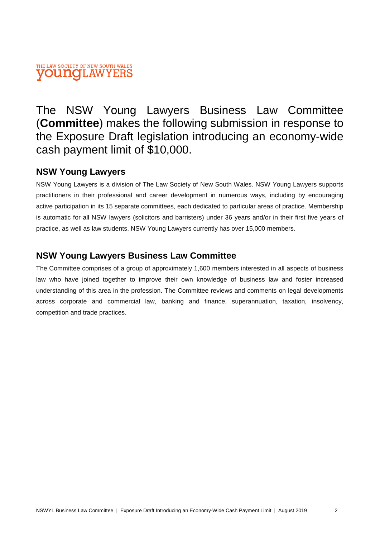### THE LAW SOCIETY OF NEW SOUTH WALES **VOUNOLAWYERS**

The NSW Young Lawyers Business Law Committee (**Committee**) makes the following submission in response to the Exposure Draft legislation introducing an economy-wide cash payment limit of \$10,000.

# **NSW Young Lawyers**

NSW Young Lawyers is a division of The Law Society of New South Wales. NSW Young Lawyers supports practitioners in their professional and career development in numerous ways, including by encouraging active participation in its 15 separate committees, each dedicated to particular areas of practice. Membership is automatic for all NSW lawyers (solicitors and barristers) under 36 years and/or in their first five years of practice, as well as law students. NSW Young Lawyers currently has over 15,000 members.

# **NSW Young Lawyers Business Law Committee**

The Committee comprises of a group of approximately 1,600 members interested in all aspects of business law who have joined together to improve their own knowledge of business law and foster increased understanding of this area in the profession. The Committee reviews and comments on legal developments across corporate and commercial law, banking and finance, superannuation, taxation, insolvency, competition and trade practices.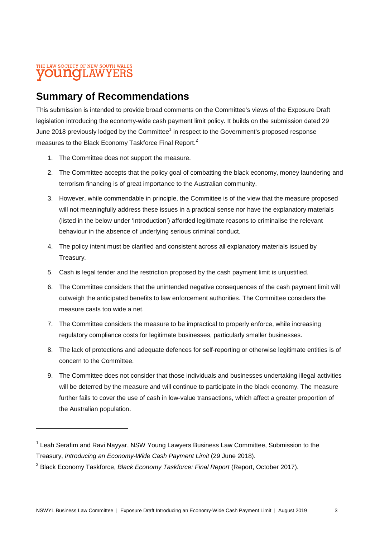## THE LAW SOCIETY OF NEW SOUTH WALES **OUNCILAWYEI**

# **Summary of Recommendations**

This submission is intended to provide broad comments on the Committee's views of the Exposure Draft legislation introducing the economy-wide cash payment limit policy. It builds on the submission dated 29 June 2018 previously lodged by the Committee<sup>1</sup> in respect to the Government's proposed response measures to the Black Economy Taskforce Final Report.<sup>2</sup>

- 1. The Committee does not support the measure.
- 2. The Committee accepts that the policy goal of combatting the black economy, money laundering and terrorism financing is of great importance to the Australian community.
- 3. However, while commendable in principle, the Committee is of the view that the measure proposed will not meaningfully address these issues in a practical sense nor have the explanatory materials (listed in the below under 'Introduction') afforded legitimate reasons to criminalise the relevant behaviour in the absence of underlying serious criminal conduct.
- 4. The policy intent must be clarified and consistent across all explanatory materials issued by Treasury.
- 5. Cash is legal tender and the restriction proposed by the cash payment limit is unjustified.
- 6. The Committee considers that the unintended negative consequences of the cash payment limit will outweigh the anticipated benefits to law enforcement authorities. The Committee considers the measure casts too wide a net.
- 7. The Committee considers the measure to be impractical to properly enforce, while increasing regulatory compliance costs for legitimate businesses, particularly smaller businesses.
- 8. The lack of protections and adequate defences for self-reporting or otherwise legitimate entities is of concern to the Committee.
- 9. The Committee does not consider that those individuals and businesses undertaking illegal activities will be deterred by the measure and will continue to participate in the black economy. The measure further fails to cover the use of cash in low-value transactions, which affect a greater proportion of the Australian population.

<sup>&</sup>lt;sup>1</sup> Leah Serafim and Ravi Nayyar, NSW Young Lawyers Business Law Committee, Submission to the Treasury, *Introducing an Economy-Wide Cash Payment Limit* (29 June 2018).

<sup>2</sup> Black Economy Taskforce, *Black Economy Taskforce: Final Report* (Report, October 2017).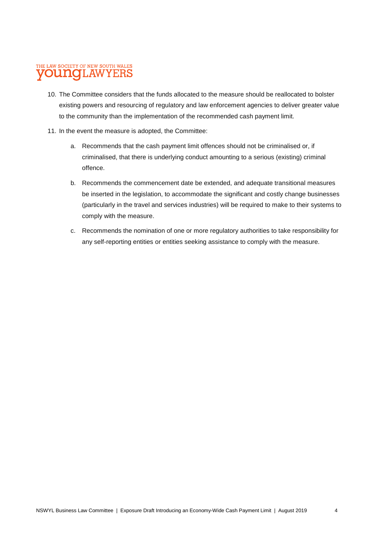#### THE LAW SOCIETY OF NEW SOUTH WALES **OUNG**LAWYERS

- 10. The Committee considers that the funds allocated to the measure should be reallocated to bolster existing powers and resourcing of regulatory and law enforcement agencies to deliver greater value to the community than the implementation of the recommended cash payment limit.
- 11. In the event the measure is adopted, the Committee:
	- a. Recommends that the cash payment limit offences should not be criminalised or, if criminalised, that there is underlying conduct amounting to a serious (existing) criminal offence.
	- b. Recommends the commencement date be extended, and adequate transitional measures be inserted in the legislation, to accommodate the significant and costly change businesses (particularly in the travel and services industries) will be required to make to their systems to comply with the measure.
	- c. Recommends the nomination of one or more regulatory authorities to take responsibility for any self-reporting entities or entities seeking assistance to comply with the measure.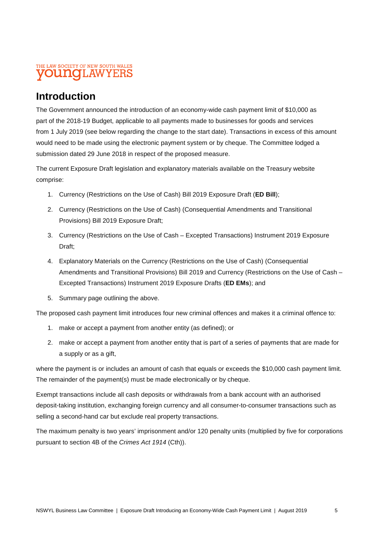## THE LAW SOCIETY OF NEW SOUTH WALES **OUNCILAWYEI**

# **Introduction**

The Government announced the introduction of an economy-wide cash payment limit of \$10,000 as part of the 2018-19 Budget, applicable to all payments made to businesses for goods and services from 1 July 2019 (see below regarding the change to the start date). Transactions in excess of this amount would need to be made using the electronic payment system or by cheque. The Committee lodged a submission dated 29 June 2018 in respect of the proposed measure.

The current Exposure Draft legislation and explanatory materials available on the Treasury website comprise:

- 1. Currency (Restrictions on the Use of Cash) Bill 2019 Exposure Draft (**ED Bill**);
- 2. Currency (Restrictions on the Use of Cash) (Consequential Amendments and Transitional Provisions) Bill 2019 Exposure Draft;
- 3. Currency (Restrictions on the Use of Cash Excepted Transactions) Instrument 2019 Exposure Draft;
- 4. Explanatory Materials on the Currency (Restrictions on the Use of Cash) (Consequential Amendments and Transitional Provisions) Bill 2019 and Currency (Restrictions on the Use of Cash – Excepted Transactions) Instrument 2019 Exposure Drafts (**ED EMs**); and
- 5. Summary page outlining the above.

The proposed cash payment limit introduces four new criminal offences and makes it a criminal offence to:

- 1. make or accept a payment from another entity (as defined); or
- 2. make or accept a payment from another entity that is part of a series of payments that are made for a supply or as a gift,

where the payment is or includes an amount of cash that equals or exceeds the \$10,000 cash payment limit. The remainder of the payment(s) must be made electronically or by cheque.

Exempt transactions include all cash deposits or withdrawals from a bank account with an authorised deposit-taking institution, exchanging foreign currency and all consumer-to-consumer transactions such as selling a second-hand car but exclude real property transactions.

The maximum penalty is two years' imprisonment and/or 120 penalty units (multiplied by five for corporations pursuant to section 4B of the *Crimes Act 1914* (Cth)).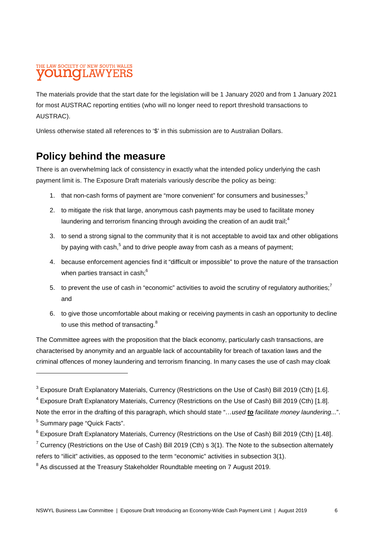## THE LAW SOCIETY OF NEW SOUTH WALES **OUNCILAWYEI**

The materials provide that the start date for the legislation will be 1 January 2020 and from 1 January 2021 for most AUSTRAC reporting entities (who will no longer need to report threshold transactions to AUSTRAC).

Unless otherwise stated all references to '\$' in this submission are to Australian Dollars.

# **Policy behind the measure**

There is an overwhelming lack of consistency in exactly what the intended policy underlying the cash payment limit is. The Exposure Draft materials variously describe the policy as being:

- 1. that non-cash forms of payment are "more convenient" for consumers and businesses;<sup>3</sup>
- 2. to mitigate the risk that large, anonymous cash payments may be used to facilitate money laundering and terrorism financing through avoiding the creation of an audit trail; $4$
- 3. to send a strong signal to the community that it is not acceptable to avoid tax and other obligations by paying with cash,<sup>5</sup> and to drive people away from cash as a means of payment;
- 4. because enforcement agencies find it "difficult or impossible" to prove the nature of the transaction when parties transact in cash;<sup>6</sup>
- 5. to prevent the use of cash in "economic" activities to avoid the scrutiny of regulatory authorities:<sup>7</sup> and
- 6. to give those uncomfortable about making or receiving payments in cash an opportunity to decline to use this method of transacting.<sup>8</sup>

The Committee agrees with the proposition that the black economy, particularly cash transactions, are characterised by anonymity and an arguable lack of accountability for breach of taxation laws and the criminal offences of money laundering and terrorism financing. In many cases the use of cash may cloak

 $^3$  Exposure Draft Explanatory Materials, Currency (Restrictions on the Use of Cash) Bill 2019 (Cth) [1.6].

<sup>&</sup>lt;sup>4</sup> Exposure Draft Explanatory Materials, Currency (Restrictions on the Use of Cash) Bill 2019 (Cth) [1.8].

Note the error in the drafting of this paragraph, which should state "*…used to facilitate money laundering...*". <sup>5</sup> Summary page "Quick Facts".

<sup>&</sup>lt;sup>6</sup> Exposure Draft Explanatory Materials, Currency (Restrictions on the Use of Cash) Bill 2019 (Cth) [1.48].

<sup>&</sup>lt;sup>7</sup> Currency (Restrictions on the Use of Cash) Bill 2019 (Cth) s 3(1). The Note to the subsection alternately refers to "illicit" activities, as opposed to the term "economic" activities in subsection 3(1).

 $8$  As discussed at the Treasury Stakeholder Roundtable meeting on 7 August 2019.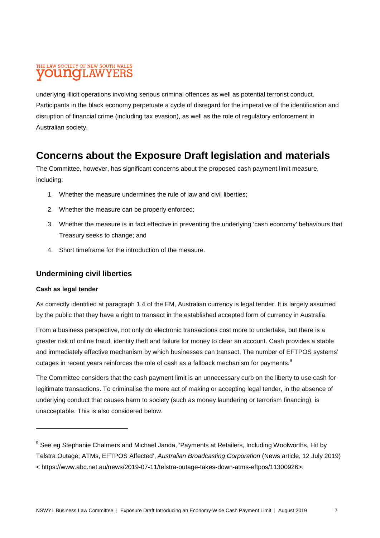## THE LAW SOCIETY OF NEW SOUTH WALES **OUITIC II, AWYEH**

underlying illicit operations involving serious criminal offences as well as potential terrorist conduct. Participants in the black economy perpetuate a cycle of disregard for the imperative of the identification and disruption of financial crime (including tax evasion), as well as the role of regulatory enforcement in Australian society.

# **Concerns about the Exposure Draft legislation and materials**

The Committee, however, has significant concerns about the proposed cash payment limit measure, including:

- 1. Whether the measure undermines the rule of law and civil liberties;
- 2. Whether the measure can be properly enforced;
- 3. Whether the measure is in fact effective in preventing the underlying 'cash economy' behaviours that Treasury seeks to change; and
- 4. Short timeframe for the introduction of the measure.

#### **Undermining civil liberties**

#### **Cash as legal tender**

As correctly identified at paragraph 1.4 of the EM, Australian currency is legal tender. It is largely assumed by the public that they have a right to transact in the established accepted form of currency in Australia.

From a business perspective, not only do electronic transactions cost more to undertake, but there is a greater risk of online fraud, identity theft and failure for money to clear an account. Cash provides a stable and immediately effective mechanism by which businesses can transact. The number of EFTPOS systems' outages in recent years reinforces the role of cash as a fallback mechanism for payments.<sup>9</sup>

The Committee considers that the cash payment limit is an unnecessary curb on the liberty to use cash for legitimate transactions. To criminalise the mere act of making or accepting legal tender, in the absence of underlying conduct that causes harm to society (such as money laundering or terrorism financing), is unacceptable. This is also considered below.

<sup>&</sup>lt;sup>9</sup> See eg Stephanie Chalmers and Michael Janda, 'Payments at Retailers, Including Woolworths, Hit by Telstra Outage; ATMs, EFTPOS Affected', *Australian Broadcasting Corporation* (News article, 12 July 2019) < https://www.abc.net.au/news/2019-07-11/telstra-outage-takes-down-atms-eftpos/11300926>.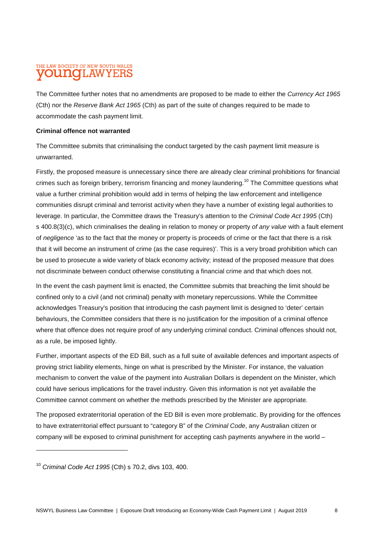## THE LAW SOCIETY OF NEW SOUTH WALES **OUNOLAWYERS**

The Committee further notes that no amendments are proposed to be made to either the *Currency Act 1965* (Cth) nor the *Reserve Bank Act 1965* (Cth) as part of the suite of changes required to be made to accommodate the cash payment limit.

#### **Criminal offence not warranted**

The Committee submits that criminalising the conduct targeted by the cash payment limit measure is unwarranted.

Firstly, the proposed measure is unnecessary since there are already clear criminal prohibitions for financial crimes such as foreign bribery, terrorism financing and money laundering.<sup>10</sup> The Committee questions what value a further criminal prohibition would add in terms of helping the law enforcement and intelligence communities disrupt criminal and terrorist activity when they have a number of existing legal authorities to leverage. In particular, the Committee draws the Treasury's attention to the *Criminal Code Act 1995* (Cth) s 400.8(3)(c), which criminalises the dealing in relation to money or property *of any value* with a fault element of *negligence* 'as to the fact that the money or property is proceeds of crime or the fact that there is a risk that it will become an instrument of crime (as the case requires)'. This is a very broad prohibition which can be used to prosecute a wide variety of black economy activity; instead of the proposed measure that does not discriminate between conduct otherwise constituting a financial crime and that which does not.

In the event the cash payment limit is enacted, the Committee submits that breaching the limit should be confined only to a civil (and not criminal) penalty with monetary repercussions. While the Committee acknowledges Treasury's position that introducing the cash payment limit is designed to 'deter' certain behaviours, the Committee considers that there is no justification for the imposition of a criminal offence where that offence does not require proof of any underlying criminal conduct. Criminal offences should not, as a rule, be imposed lightly.

Further, important aspects of the ED Bill, such as a full suite of available defences and important aspects of proving strict liability elements, hinge on what is prescribed by the Minister. For instance, the valuation mechanism to convert the value of the payment into Australian Dollars is dependent on the Minister, which could have serious implications for the travel industry. Given this information is not yet available the Committee cannot comment on whether the methods prescribed by the Minister are appropriate.

The proposed extraterritorial operation of the ED Bill is even more problematic. By providing for the offences to have extraterritorial effect pursuant to "category B" of the *Criminal Code*, any Australian citizen or company will be exposed to criminal punishment for accepting cash payments anywhere in the world –

<sup>10</sup> *Criminal Code Act 1995* (Cth) s 70.2, divs 103, 400.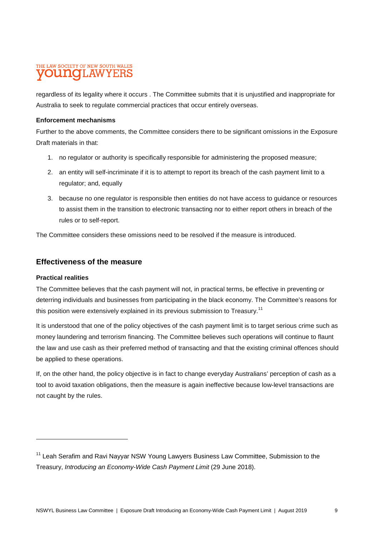## THE LAW SOCIETY OF NEW SOUTH WALES **OUNCLAWYERS**

regardless of its legality where it occurs . The Committee submits that it is unjustified and inappropriate for Australia to seek to regulate commercial practices that occur entirely overseas.

#### **Enforcement mechanisms**

Further to the above comments, the Committee considers there to be significant omissions in the Exposure Draft materials in that:

- 1. no regulator or authority is specifically responsible for administering the proposed measure;
- 2. an entity will self-incriminate if it is to attempt to report its breach of the cash payment limit to a regulator; and, equally
- 3. because no one regulator is responsible then entities do not have access to guidance or resources to assist them in the transition to electronic transacting nor to either report others in breach of the rules or to self-report.

The Committee considers these omissions need to be resolved if the measure is introduced.

#### **Effectiveness of the measure**

#### **Practical realities**

The Committee believes that the cash payment will not, in practical terms, be effective in preventing or deterring individuals and businesses from participating in the black economy. The Committee's reasons for this position were extensively explained in its previous submission to Treasury.<sup>11</sup>

It is understood that one of the policy objectives of the cash payment limit is to target serious crime such as money laundering and terrorism financing. The Committee believes such operations will continue to flaunt the law and use cash as their preferred method of transacting and that the existing criminal offences should be applied to these operations.

If, on the other hand, the policy objective is in fact to change everyday Australians' perception of cash as a tool to avoid taxation obligations, then the measure is again ineffective because low-level transactions are not caught by the rules.

<sup>&</sup>lt;sup>11</sup> Leah Serafim and Ravi Nayyar NSW Young Lawyers Business Law Committee, Submission to the Treasury, *Introducing an Economy-Wide Cash Payment Limit* (29 June 2018).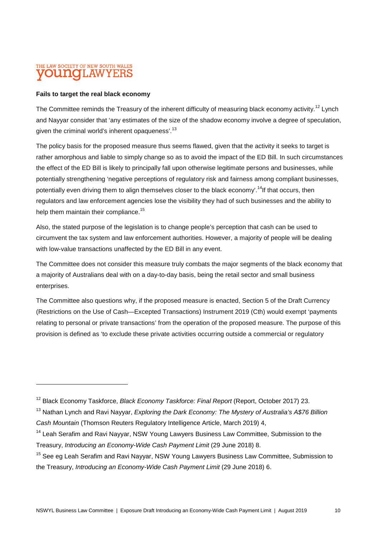## THE LAW SOCIETY OF NEW SOUTH WALES **OUINOILAW**

#### **Fails to target the real black economy**

The Committee reminds the Treasury of the inherent difficulty of measuring black economy activity.<sup>12</sup> Lynch and Nayyar consider that 'any estimates of the size of the shadow economy involve a degree of speculation, given the criminal world's inherent opaqueness'.<sup>13</sup>

The policy basis for the proposed measure thus seems flawed, given that the activity it seeks to target is rather amorphous and liable to simply change so as to avoid the impact of the ED Bill. In such circumstances the effect of the ED Bill is likely to principally fall upon otherwise legitimate persons and businesses, while potentially strengthening 'negative perceptions of regulatory risk and fairness among compliant businesses, potentially even driving them to align themselves closer to the black economy'.<sup>14</sup>If that occurs, then regulators and law enforcement agencies lose the visibility they had of such businesses and the ability to help them maintain their compliance.<sup>15</sup>

Also, the stated purpose of the legislation is to change people's perception that cash can be used to circumvent the tax system and law enforcement authorities. However, a majority of people will be dealing with low-value transactions unaffected by the ED Bill in any event.

The Committee does not consider this measure truly combats the major segments of the black economy that a majority of Australians deal with on a day-to-day basis, being the retail sector and small business enterprises.

The Committee also questions why, if the proposed measure is enacted, Section 5 of the Draft Currency (Restrictions on the Use of Cash—Excepted Transactions) Instrument 2019 (Cth) would exempt 'payments relating to personal or private transactions' from the operation of the proposed measure. The purpose of this provision is defined as 'to exclude these private activities occurring outside a commercial or regulatory

- <sup>14</sup> Leah Serafim and Ravi Nayyar, NSW Young Lawyers Business Law Committee, Submission to the Treasury, *Introducing an Economy-Wide Cash Payment Limit* (29 June 2018) 8.
- <sup>15</sup> See eg Leah Serafim and Ravi Nayyar, NSW Young Lawyers Business Law Committee, Submission to the Treasury, *Introducing an Economy-Wide Cash Payment Limit* (29 June 2018) 6.

<sup>12</sup> Black Economy Taskforce, *Black Economy Taskforce: Final Report* (Report, October 2017) 23.

<sup>13</sup> Nathan Lynch and Ravi Nayyar, *Exploring the Dark Economy: The Mystery of Australia's A\$76 Billion Cash Mountain* (Thomson Reuters Regulatory Intelligence Article, March 2019) 4,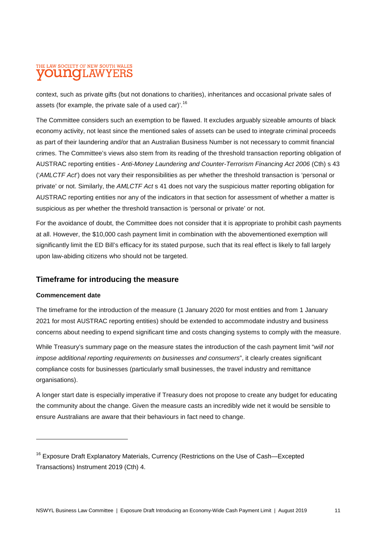## THE LAW SOCIETY OF NEW SOUTH WALES **OUNOLAWYERS**

context, such as private gifts (but not donations to charities), inheritances and occasional private sales of assets (for example, the private sale of a used car)'.<sup>16</sup>

The Committee considers such an exemption to be flawed. It excludes arguably sizeable amounts of black economy activity, not least since the mentioned sales of assets can be used to integrate criminal proceeds as part of their laundering and/or that an Australian Business Number is not necessary to commit financial crimes. The Committee's views also stem from its reading of the threshold transaction reporting obligation of AUSTRAC reporting entities - *Anti-Money Laundering and Counter-Terrorism Financing Act 2006* (Cth) s 43 ('*AMLCTF Act*') does not vary their responsibilities as per whether the threshold transaction is 'personal or private' or not. Similarly, the *AMLCTF Act* s 41 does not vary the suspicious matter reporting obligation for AUSTRAC reporting entities nor any of the indicators in that section for assessment of whether a matter is suspicious as per whether the threshold transaction is 'personal or private' or not.

For the avoidance of doubt, the Committee does not consider that it is appropriate to prohibit cash payments at all. However, the \$10,000 cash payment limit in combination with the abovementioned exemption will significantly limit the ED Bill's efficacy for its stated purpose, such that its real effect is likely to fall largely upon law-abiding citizens who should not be targeted.

#### **Timeframe for introducing the measure**

#### **Commencement date**

The timeframe for the introduction of the measure (1 January 2020 for most entities and from 1 January 2021 for most AUSTRAC reporting entities) should be extended to accommodate industry and business concerns about needing to expend significant time and costs changing systems to comply with the measure.

While Treasury's summary page on the measure states the introduction of the cash payment limit "*will not impose additional reporting requirements on businesses and consumers*", it clearly creates significant compliance costs for businesses (particularly small businesses, the travel industry and remittance organisations).

A longer start date is especially imperative if Treasury does not propose to create any budget for educating the community about the change. Given the measure casts an incredibly wide net it would be sensible to ensure Australians are aware that their behaviours in fact need to change.

<sup>&</sup>lt;sup>16</sup> Exposure Draft Explanatory Materials, Currency (Restrictions on the Use of Cash-Excepted Transactions) Instrument 2019 (Cth) 4.